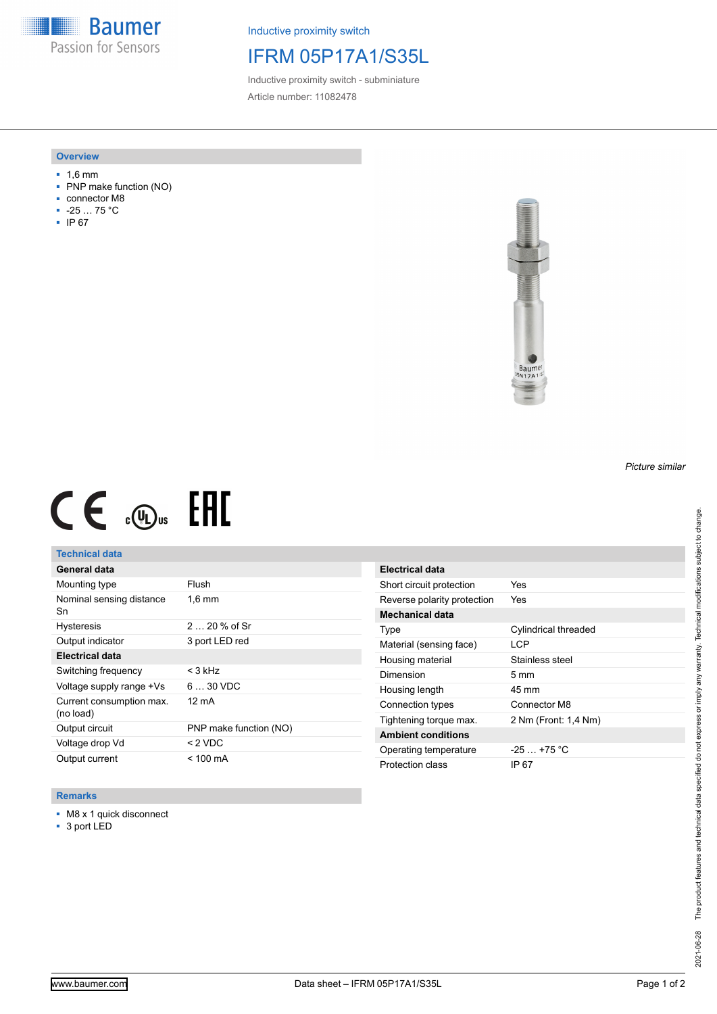**Baumer** Passion for Sensors

Inductive proximity switch

# IFRM 05P17A1/S35L

Inductive proximity switch - subminiature Article number: 11082478

#### **Overview**

- 1,6 mm
- PNP make function (NO)
- connector M8
- -25 … 75 °C
- IP 67



# $CE \mathcal{L}$  (Dus FRE

## **Technical data**

| General data                          |                        |
|---------------------------------------|------------------------|
| Mounting type                         | Flush                  |
| Nominal sensing distance<br>Sn        | $1.6 \text{ mm}$       |
| <b>Hysteresis</b>                     | $220%$ of Sr           |
| Output indicator                      | 3 port LED red         |
| <b>Electrical data</b>                |                        |
| Switching frequency                   | $<$ 3 kHz              |
| Voltage supply range +Vs              | $630$ VDC              |
| Current consumption max.<br>(no load) | 12 mA                  |
| Output circuit                        | PNP make function (NO) |
| Voltage drop Vd                       | < 2 VDC                |
| Output current                        | < 100 mA               |

### **Remarks**

■ M8 x 1 quick disconnect

■ 3 port LED

| <b>Electrical data</b>      |                             |
|-----------------------------|-----------------------------|
| Short circuit protection    | Yes                         |
| Reverse polarity protection | Yes                         |
| Mechanical data             |                             |
| Type                        | <b>Cylindrical threaded</b> |
| Material (sensing face)     | <b>LCP</b>                  |
| Housing material            | Stainless steel             |
| Dimension                   | $5 \text{ mm}$              |
| Housing length              | 45 mm                       |
| Connection types            | Connector M8                |
| Tightening torque max.      | 2 Nm (Front: 1.4 Nm)        |
| <b>Ambient conditions</b>   |                             |
| Operating temperature       | $-25$ $+75$ °C              |
| Protection class            | IP 67                       |

*Picture similar*